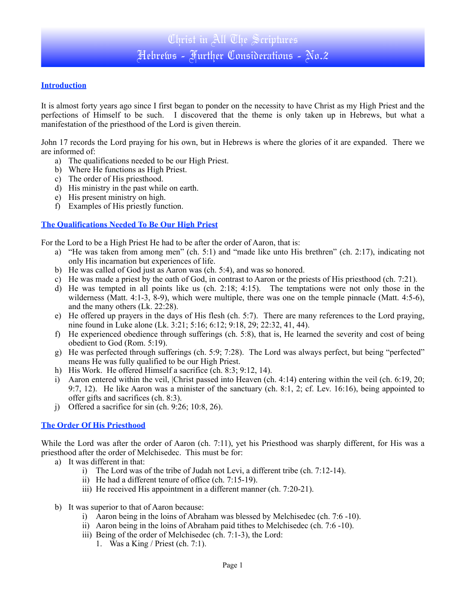#### **Introduction**

It is almost forty years ago since I first began to ponder on the necessity to have Christ as my High Priest and the perfections of Himself to be such. I discovered that the theme is only taken up in Hebrews, but what a manifestation of the priesthood of the Lord is given therein.

John 17 records the Lord praying for his own, but in Hebrews is where the glories of it are expanded. There we are informed of:

- a) The qualifications needed to be our High Priest.
- b) Where He functions as High Priest.
- c) The order of His priesthood.
- d) His ministry in the past while on earth.
- e) His present ministry on high.
- f) Examples of His priestly function.

#### **The Qualifications Needed To Be Our High Priest**

For the Lord to be a High Priest He had to be after the order of Aaron, that is:

- a) "He was taken from among men" (ch. 5:1) and "made like unto His brethren" (ch. 2:17), indicating not only His incarnation but experiences of life.
- b) He was called of God just as Aaron was (ch. 5:4), and was so honored.
- c) He was made a priest by the oath of God, in contrast to Aaron or the priests of His priesthood (ch. 7:21).
- d) He was tempted in all points like us (ch. 2:18; 4:15). The temptations were not only those in the wilderness (Matt. 4:1-3, 8-9), which were multiple, there was one on the temple pinnacle (Matt. 4:5-6), and the many others (Lk. 22:28).
- e) He offered up prayers in the days of His flesh (ch. 5:7). There are many references to the Lord praying, nine found in Luke alone (Lk. 3:21; 5:16; 6:12; 9:18, 29; 22:32, 41, 44).
- f) He experienced obedience through sufferings (ch. 5:8), that is, He learned the severity and cost of being obedient to God (Rom. 5:19).
- g) He was perfected through sufferings (ch. 5:9; 7:28). The Lord was always perfect, but being "perfected" means He was fully qualified to be our High Priest.
- h) His Work. He offered Himself a sacrifice (ch. 8:3; 9:12, 14).
- i) Aaron entered within the veil, |Christ passed into Heaven (ch. 4:14) entering within the veil (ch. 6:19, 20; 9:7, 12). He like Aaron was a minister of the sanctuary (ch. 8:1, 2; cf. Lev. 16:16), being appointed to offer gifts and sacrifices (ch. 8:3).
- j) Offered a sacrifice for sin (ch.  $9:26$ ;  $10:8$ ,  $26$ ).

#### **The Order Of His Priesthood**

While the Lord was after the order of Aaron (ch. 7:11), yet his Priesthood was sharply different, for His was a priesthood after the order of Melchisedec. This must be for:

- a) It was different in that:
	- i) The Lord was of the tribe of Judah not Levi, a different tribe (ch. 7:12-14).
	- ii) He had a different tenure of office (ch. 7:15-19).
	- iii) He received His appointment in a different manner (ch. 7:20-21).
- b) It was superior to that of Aaron because:
	- i) Aaron being in the loins of Abraham was blessed by Melchisedec (ch. 7:6 -10).
	- ii) Aaron being in the loins of Abraham paid tithes to Melchisedec (ch. 7:6 -10).
	- iii) Being of the order of Melchisedec (ch. 7:1-3), the Lord:
		- 1. Was a King / Priest (ch. 7:1).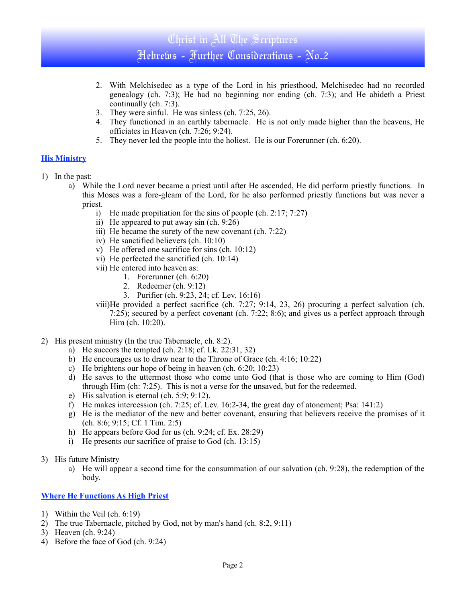# Christ in All The Scriptures Hebrews - Further Considerations - No.2

- 2. With Melchisedec as a type of the Lord in his priesthood, Melchisedec had no recorded genealogy (ch. 7:3); He had no beginning nor ending (ch. 7:3); and He abideth a Priest continually (ch. 7:3).
- 3. They were sinful. He was sinless (ch. 7:25, 26).
- 4. They functioned in an earthly tabernacle. He is not only made higher than the heavens, He officiates in Heaven (ch. 7:26; 9:24).
- 5. They never led the people into the holiest. He is our Forerunner (ch. 6:20).

#### **His Ministry**

- 1) In the past:
	- a) While the Lord never became a priest until after He ascended, He did perform priestly functions. In this Moses was a fore-gleam of the Lord, for he also performed priestly functions but was never a priest.
		- i) He made propitiation for the sins of people (ch. 2:17; 7:27)
		- ii) He appeared to put away sin (ch. 9:26)
		- iii) He became the surety of the new covenant (ch. 7:22)
		- iv) He sanctified believers (ch. 10:10)
		- v) He offered one sacrifice for sins (ch. 10:12)
		- vi) He perfected the sanctified (ch. 10:14)
		- vii) He entered into heaven as:
			- 1. Forerunner (ch. 6:20)
			- 2. Redeemer (ch. 9:12)
			- 3. Purifier (ch. 9:23, 24; cf. Lev. 16:16)

viii)He provided a perfect sacrifice (ch. 7:27; 9:14, 23, 26) procuring a perfect salvation (ch. 7:25); secured by a perfect covenant (ch. 7:22; 8:6); and gives us a perfect approach through Him (ch. 10:20).

- 2) His present ministry (In the true Tabernacle, ch. 8:2).
	- a) He succors the tempted (ch. 2:18; cf. Lk. 22:31, 32)
	- b) He encourages us to draw near to the Throne of Grace (ch. 4:16; 10:22)
	- c) He brightens our hope of being in heaven (ch. 6:20; 10:23)
	- d) He saves to the uttermost those who come unto God (that is those who are coming to Him (God) through Him (ch: 7:25). This is not a verse for the unsaved, but for the redeemed.
	- e) His salvation is eternal (ch. 5:9; 9:12).
	- f) He makes intercession (ch. 7:25; cf. Lev. 16:2-34, the great day of atonement; Psa: 141:2)
	- g) He is the mediator of the new and better covenant, ensuring that believers receive the promises of it (ch. 8:6; 9:15; Cf. 1 Tim. 2:5)
	- h) He appears before God for us (ch. 9:24; cf. Ex. 28:29)
	- i) He presents our sacrifice of praise to God (ch. 13:15)
- 3) His future Ministry
	- a) He will appear a second time for the consummation of our salvation (ch. 9:28), the redemption of the body.

### **Where He Functions As High Priest**

- 1) Within the Veil (ch. 6:19)
- 2) The true Tabernacle, pitched by God, not by man's hand (ch. 8:2, 9:11)
- 3) Heaven (ch. 9:24)
- 4) Before the face of God (ch. 9:24)